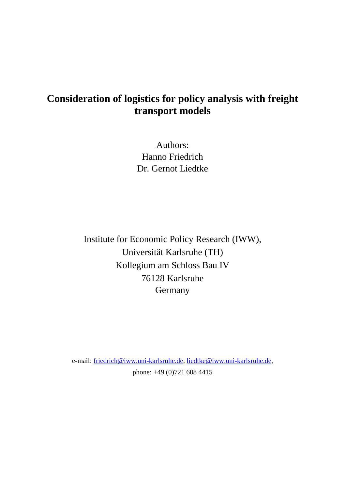# **Consideration of logistics for policy analysis with freight transport models**

Authors: Hanno Friedrich Dr. Gernot Liedtke

Institute for Economic Policy Research (IWW), Universität Karlsruhe (TH) Kollegium am Schloss Bau IV 76128 Karlsruhe Germany

e-mail: friedrich@iww.uni-karlsruhe.de, liedtke@iww.uni-karlsruhe.de, phone: +49 (0)721 608 4415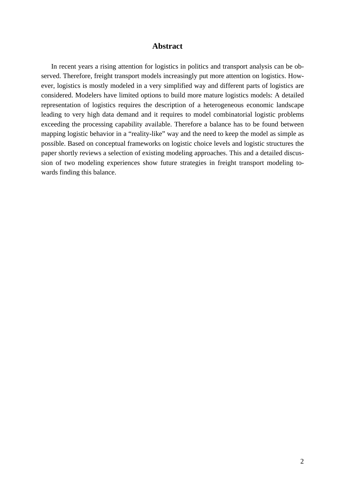# **Abstract**

 In recent years a rising attention for logistics in politics and transport analysis can be observed. Therefore, freight transport models increasingly put more attention on logistics. However, logistics is mostly modeled in a very simplified way and different parts of logistics are considered. Modelers have limited options to build more mature logistics models: A detailed representation of logistics requires the description of a heterogeneous economic landscape leading to very high data demand and it requires to model combinatorial logistic problems exceeding the processing capability available. Therefore a balance has to be found between mapping logistic behavior in a "reality-like" way and the need to keep the model as simple as possible. Based on conceptual frameworks on logistic choice levels and logistic structures the paper shortly reviews a selection of existing modeling approaches. This and a detailed discussion of two modeling experiences show future strategies in freight transport modeling towards finding this balance.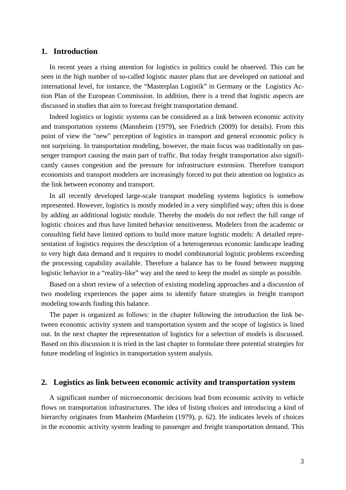## **1. Introduction**

In recent years a rising attention for logistics in politics could be observed. This can be seen in the high number of so-called logistic master plans that are developed on national and international level, for instance, the "Masterplan Logistik" in Germany or the Logistics Action Plan of the European Commission. In addition, there is a trend that logistic aspects are discussed in studies that aim to forecast freight transportation demand.

Indeed logistics or logistic systems can be considered as a link between economic activity and transportation systems (Mannheim (1979), see Friedrich (2009) for details). From this point of view the "new" perception of logistics in transport and general economic policy is not surprising. In transportation modeling, however, the main focus was traditionally on passenger transport causing the main part of traffic. But today freight transportation also significantly causes congestion and the pressure for infrastructure extension. Therefore transport economists and transport modelers are increasingly forced to put their attention on logistics as the link between economy and transport.

In all recently developed large-scale transport modeling systems logistics is somehow represented. However, logistics is mostly modeled in a very simplified way; often this is done by adding an additional logistic module. Thereby the models do not reflect the full range of logistic choices and thus have limited behavior sensitiveness. Modelers from the academic or consulting field have limited options to build more mature logistic models: A detailed representation of logistics requires the description of a heterogeneous economic landscape leading to very high data demand and it requires to model combinatorial logistic problems exceeding the processing capability available. Therefore a balance has to be found between mapping logistic behavior in a "reality-like" way and the need to keep the model as simple as possible.

Based on a short review of a selection of existing modeling approaches and a discussion of two modeling experiences the paper aims to identify future strategies in freight transport modeling towards finding this balance.

The paper is organized as follows: in the chapter following the introduction the link between economic activity system and transportation system and the scope of logistics is lined out. In the next chapter the representation of logistics for a selection of models is discussed. Based on this discussion it is tried in the last chapter to formulate three potential strategies for future modeling of logistics in transportation system analysis.

## **2. Logistics as link between economic activity and transportation system**

A significant number of microeconomic decisions lead from economic activity to vehicle flows on transportation infrastructures. The idea of listing choices and introducing a kind of hierarchy originates from Manheim (Manheim (1979), p. 62). He indicates levels of choices in the economic activity system leading to passenger and freight transportation demand. This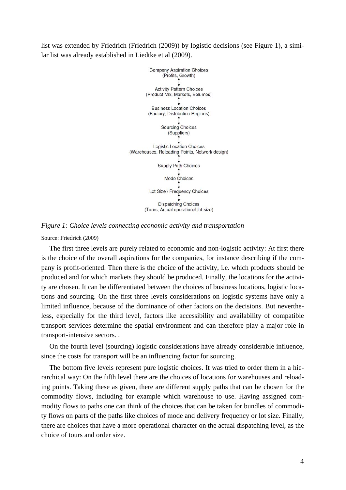list was extended by Friedrich (Friedrich (2009)) by logistic decisions (see Figure 1), a similar list was already established in Liedtke et al (2009).



*Figure 1: Choice levels connecting economic activity and transportation* 

Source: Friedrich (2009)

The first three levels are purely related to economic and non-logistic activity: At first there is the choice of the overall aspirations for the companies, for instance describing if the company is profit-oriented. Then there is the choice of the activity, i.e. which products should be produced and for which markets they should be produced. Finally, the locations for the activity are chosen. It can be differentiated between the choices of business locations, logistic locations and sourcing. On the first three levels considerations on logistic systems have only a limited influence, because of the dominance of other factors on the decisions. But nevertheless, especially for the third level, factors like accessibility and availability of compatible transport services determine the spatial environment and can therefore play a major role in transport-intensive sectors. .

On the fourth level (sourcing) logistic considerations have already considerable influence, since the costs for transport will be an influencing factor for sourcing.

The bottom five levels represent pure logistic choices. It was tried to order them in a hierarchical way: On the fifth level there are the choices of locations for warehouses and reloading points. Taking these as given, there are different supply paths that can be chosen for the commodity flows, including for example which warehouse to use. Having assigned commodity flows to paths one can think of the choices that can be taken for bundles of commodity flows on parts of the paths like choices of mode and delivery frequency or lot size. Finally, there are choices that have a more operational character on the actual dispatching level, as the choice of tours and order size.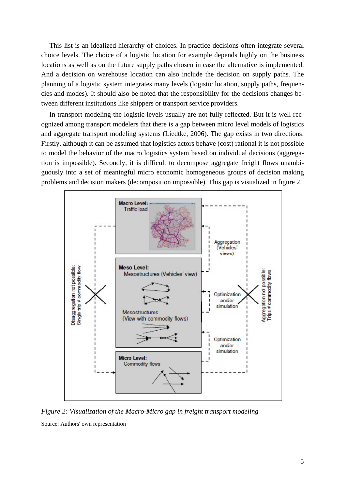This list is an idealized hierarchy of choices. In practice decisions often integrate several choice levels. The choice of a logistic location for example depends highly on the business locations as well as on the future supply paths chosen in case the alternative is implemented. And a decision on warehouse location can also include the decision on supply paths. The planning of a logistic system integrates many levels (logistic location, supply paths, frequencies and modes). It should also be noted that the responsibility for the decisions changes between different institutions like shippers or transport service providers.

In transport modeling the logistic levels usually are not fully reflected. But it is well recognized among transport modelers that there is a gap between micro level models of logistics and aggregate transport modeling systems (Liedtke, 2006). The gap exists in two directions: Firstly, although it can be assumed that logistics actors behave (cost) rational it is not possible to model the behavior of the macro logistics system based on individual decisions (aggregation is impossible). Secondly, it is difficult to decompose aggregate freight flows unambiguously into a set of meaningful micro economic homogeneous groups of decision making problems and decision makers (decomposition impossible). This gap is visualized in figure 2.



*Figure 2: Visualization of the Macro-Micro gap in freight transport modeling*  Source: Authors' own representation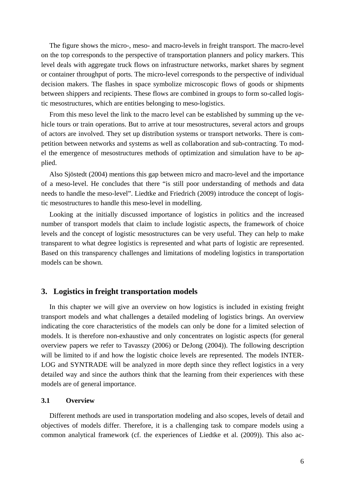The figure shows the micro-, meso- and macro-levels in freight transport. The macro-level on the top corresponds to the perspective of transportation planners and policy markers. This level deals with aggregate truck flows on infrastructure networks, market shares by segment or container throughput of ports. The micro-level corresponds to the perspective of individual decision makers. The flashes in space symbolize microscopic flows of goods or shipments between shippers and recipients. These flows are combined in groups to form so-called logistic mesostructures, which are entities belonging to meso-logistics.

From this meso level the link to the macro level can be established by summing up the vehicle tours or train operations. But to arrive at tour mesostructures, several actors and groups of actors are involved. They set up distribution systems or transport networks. There is competition between networks and systems as well as collaboration and sub-contracting. To model the emergence of mesostructures methods of optimization and simulation have to be applied.

Also Sjöstedt (2004) mentions this gap between micro and macro-level and the importance of a meso-level. He concludes that there "is still poor understanding of methods and data needs to handle the meso-level". Liedtke and Friedrich (2009) introduce the concept of logistic mesostructures to handle this meso-level in modelling.

Looking at the initially discussed importance of logistics in politics and the increased number of transport models that claim to include logistic aspects, the framework of choice levels and the concept of logistic mesostructures can be very useful. They can help to make transparent to what degree logistics is represented and what parts of logistic are represented. Based on this transparency challenges and limitations of modeling logistics in transportation models can be shown.

# **3. Logistics in freight transportation models**

In this chapter we will give an overview on how logistics is included in existing freight transport models and what challenges a detailed modeling of logistics brings. An overview indicating the core characteristics of the models can only be done for a limited selection of models. It is therefore non-exhaustive and only concentrates on logistic aspects (for general overview papers we refer to Tavasszy (2006) or DeJong (2004)). The following description will be limited to if and how the logistic choice levels are represented. The models INTER-LOG and SYNTRADE will be analyzed in more depth since they reflect logistics in a very detailed way and since the authors think that the learning from their experiences with these models are of general importance.

#### **3.1 Overview**

Different methods are used in transportation modeling and also scopes, levels of detail and objectives of models differ. Therefore, it is a challenging task to compare models using a common analytical framework (cf. the experiences of Liedtke et al. (2009)). This also ac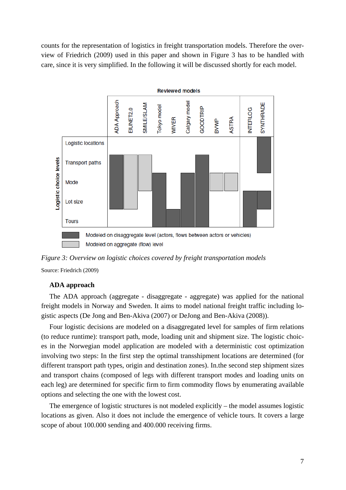counts for the representation of logistics in freight transportation models. Therefore the overview of Friedrich (2009) used in this paper and shown in Figure 3 has to be handled with care, since it is very simplified. In the following it will be discussed shortly for each model.



*Figure 3: Overview on logistic choices covered by freight transportation models* 

Source: Friedrich (2009)

## **ADA approach**

The ADA approach (aggregate - disaggregate - aggregate) was applied for the national freight models in Norway and Sweden. It aims to model national freight traffic including logistic aspects (De Jong and Ben-Akiva (2007) or DeJong and Ben-Akiva (2008)).

Four logistic decisions are modeled on a disaggregated level for samples of firm relations (to reduce runtime): transport path, mode, loading unit and shipment size. The logistic choices in the Norwegian model application are modeled with a deterministic cost optimization involving two steps: In the first step the optimal transshipment locations are determined (for different transport path types, origin and destination zones). In.the second step shipment sizes and transport chains (composed of legs with different transport modes and loading units on each leg) are determined for specific firm to firm commodity flows by enumerating available options and selecting the one with the lowest cost.

The emergence of logistic structures is not modeled explicitly – the model assumes logistic locations as given. Also it does not include the emergence of vehicle tours. It covers a large scope of about 100.000 sending and 400.000 receiving firms.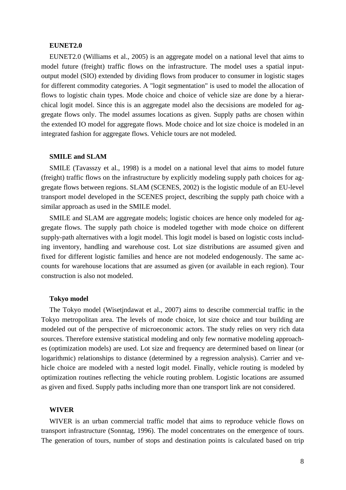## **EUNET2.0**

EUNET2.0 (Williams et al., 2005) is an aggregate model on a national level that aims to model future (freight) traffic flows on the infrastructure. The model uses a spatial inputoutput model (SIO) extended by dividing flows from producer to consumer in logistic stages for different commodity categories. A "logit segmentation" is used to model the allocation of flows to logistic chain types. Mode choice and choice of vehicle size are done by a hierarchical logit model. Since this is an aggregate model also the decsisions are modeled for aggregate flows only. The model assumes locations as given. Supply paths are chosen within the extended IO model for aggregate flows. Mode choice and lot size choice is modeled in an integrated fashion for aggregate flows. Vehicle tours are not modeled.

#### **SMILE and SLAM**

SMILE (Tavasszy et al., 1998) is a model on a national level that aims to model future (freight) traffic flows on the infrastructure by explicitly modeling supply path choices for aggregate flows between regions. SLAM (SCENES, 2002) is the logistic module of an EU-level transport model developed in the SCENES project, describing the supply path choice with a similar approach as used in the SMILE model.

SMILE and SLAM are aggregate models; logistic choices are hence only modeled for aggregate flows. The supply path choice is modeled together with mode choice on different supply-path alternatives with a logit model. This logit model is based on logistic costs including inventory, handling and warehouse cost. Lot size distributions are assumed given and fixed for different logistic families and hence are not modeled endogenously. The same accounts for warehouse locations that are assumed as given (or available in each region). Tour construction is also not modeled.

#### **Tokyo model**

The Tokyo model (Wisetjndawat et al., 2007) aims to describe commercial traffic in the Tokyo metropolitan area. The levels of mode choice, lot size choice and tour building are modeled out of the perspective of microeconomic actors. The study relies on very rich data sources. Therefore extensive statistical modeling and only few normative modeling approaches (optimization models) are used. Lot size and frequency are determined based on linear (or logarithmic) relationships to distance (determined by a regression analysis). Carrier and vehicle choice are modeled with a nested logit model. Finally, vehicle routing is modeled by optimization routines reflecting the vehicle routing problem. Logistic locations are assumed as given and fixed. Supply paths including more than one transport link are not considered.

#### **WIVER**

WIVER is an urban commercial traffic model that aims to reproduce vehicle flows on transport infrastructure (Sonntag, 1996). The model concentrates on the emergence of tours. The generation of tours, number of stops and destination points is calculated based on trip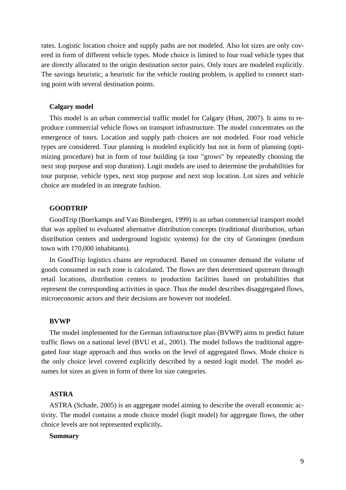rates. Logistic location choice and supply paths are not modeled. Also lot sizes are only covered in form of different vehicle types. Mode choice is limited to four road vehicle types that are directly allocated to the origin destination sector pairs. Only tours are modeled explicitly. The savings heuristic, a heuristic for the vehicle routing problem, is applied to connect starting point with several destination points.

#### **Calgary model**

This model is an urban commercial traffic model for Calgary (Hunt, 2007). It aims to reproduce commercial vehicle flows on transport infrastructure. The model concentrates on the emergence of tours. Location and supply path choices are not modeled. Four road vehicle types are considered. Tour planning is modeled explicitly but not in form of planning (optimizing procedure) but in form of tour building (a tour "grows" by repeatedly choosing the next stop purpose and stop duration). Logit models are used to determine the probabilities for tour purpose, vehicle types, next stop purpose and next stop location. Lot sizes and vehicle choice are modeled in an integrate fashion.

## **GOODTRIP**

GoodTrip (Boerkamps and Van Binsbergen, 1999) is an urban commercial transport model that was applied to evaluated alternative distribution concepts (traditional distribution, urban distribution centers and underground logistic systems) for the city of Groningen (medium town with 170,000 inhabitants).

In GoodTrip logistics chains are reproduced. Based on consumer demand the volume of goods consumed in each zone is calculated. The flows are then determined upstream through retail locations, distribution centers to production facilities based on probabilities that represent the corresponding activities in space. Thus the model describes disaggregated flows, microeconomic actors and their decisions are however not modeled.

#### **BVWP**

The model implemented for the German infrastructure plan (BVWP) aims to predict future traffic flows on a national level (BVU et al., 2001). The model follows the traditional aggregated four stage approach and thus works on the level of aggregated flows. Mode choice is the only choice level covered explicitly described by a nested logit model. The model assumes lot sizes as given in form of three lot size categories.

#### **ASTRA**

ASTRA (Schade, 2005) is an aggregate model aiming to describe the overall economic activity. The model contains a mode choice model (logit model) for aggregate flows, the other choice levels are not represented explicitly**.** 

#### **Summary**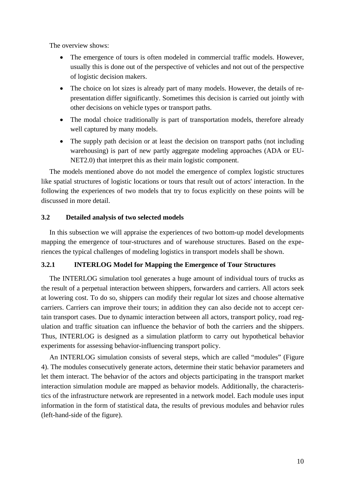The overview shows:

- The emergence of tours is often modeled in commercial traffic models. However, usually this is done out of the perspective of vehicles and not out of the perspective of logistic decision makers.
- The choice on lot sizes is already part of many models. However, the details of representation differ significantly. Sometimes this decision is carried out jointly with other decisions on vehicle types or transport paths.
- The modal choice traditionally is part of transportation models, therefore already well captured by many models.
- The supply path decision or at least the decision on transport paths (not including warehousing) is part of new partly aggregate modeling approaches (ADA or EU-NET2.0) that interpret this as their main logistic component.

The models mentioned above do not model the emergence of complex logistic structures like spatial structures of logistic locations or tours that result out of actors' interaction. In the following the experiences of two models that try to focus explicitly on these points will be discussed in more detail.

# **3.2 Detailed analysis of two selected models**

In this subsection we will appraise the experiences of two bottom-up model developments mapping the emergence of tour-structures and of warehouse structures. Based on the experiences the typical challenges of modeling logistics in transport models shall be shown.

# **3.2.1 INTERLOG Model for Mapping the Emergence of Tour Structures**

The INTERLOG simulation tool generates a huge amount of individual tours of trucks as the result of a perpetual interaction between shippers, forwarders and carriers. All actors seek at lowering cost. To do so, shippers can modify their regular lot sizes and choose alternative carriers. Carriers can improve their tours; in addition they can also decide not to accept certain transport cases. Due to dynamic interaction between all actors, transport policy, road regulation and traffic situation can influence the behavior of both the carriers and the shippers. Thus, INTERLOG is designed as a simulation platform to carry out hypothetical behavior experiments for assessing behavior-influencing transport policy.

An INTERLOG simulation consists of several steps, which are called "modules" (Figure 4). The modules consecutively generate actors, determine their static behavior parameters and let them interact. The behavior of the actors and objects participating in the transport market interaction simulation module are mapped as behavior models. Additionally, the characteristics of the infrastructure network are represented in a network model. Each module uses input information in the form of statistical data, the results of previous modules and behavior rules (left-hand-side of the figure).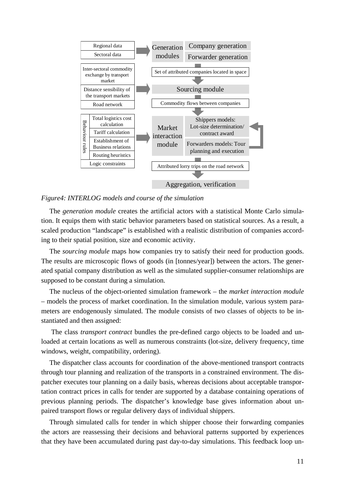

## *Figure4: INTERLOG models and course of the simulation*

The *generation module* creates the artificial actors with a statistical Monte Carlo simulation. It equips them with static behavior parameters based on statistical sources. As a result, a scaled production "landscape" is established with a realistic distribution of companies according to their spatial position, size and economic activity.

The *sourcing module* maps how companies try to satisfy their need for production goods. The results are microscopic flows of goods (in [tonnes/year]) between the actors. The generated spatial company distribution as well as the simulated supplier-consumer relationships are supposed to be constant during a simulation.

The nucleus of the object-oriented simulation framework – the *market interaction module* – models the process of market coordination. In the simulation module, various system parameters are endogenously simulated. The module consists of two classes of objects to be instantiated and then assigned:

 The class *transport contract* bundles the pre-defined cargo objects to be loaded and unloaded at certain locations as well as numerous constraints (lot-size, delivery frequency, time windows, weight, compatibility, ordering).

The dispatcher class accounts for coordination of the above-mentioned transport contracts through tour planning and realization of the transports in a constrained environment. The dispatcher executes tour planning on a daily basis, whereas decisions about acceptable transportation contract prices in calls for tender are supported by a database containing operations of previous planning periods. The dispatcher's knowledge base gives information about unpaired transport flows or regular delivery days of individual shippers.

Through simulated calls for tender in which shipper choose their forwarding companies the actors are reassessing their decisions and behavioral patterns supported by experiences that they have been accumulated during past day-to-day simulations. This feedback loop un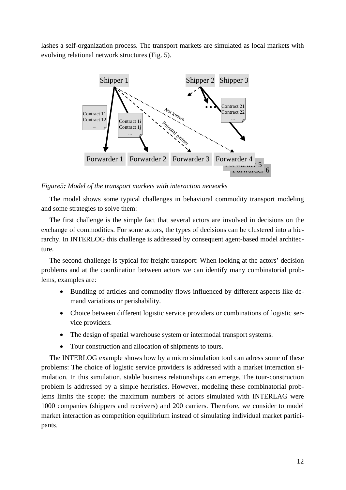lashes a self-organization process. The transport markets are simulated as local markets with evolving relational network structures (Fig. 5).



*Figure5: Model of the transport markets with interaction networks* 

The model shows some typical challenges in behavioral commodity transport modeling and some strategies to solve them:

The first challenge is the simple fact that several actors are involved in decisions on the exchange of commodities. For some actors, the types of decisions can be clustered into a hierarchy. In INTERLOG this challenge is addressed by consequent agent-based model architecture.

The second challenge is typical for freight transport: When looking at the actors' decision problems and at the coordination between actors we can identify many combinatorial problems, examples are:

- Bundling of articles and commodity flows influenced by different aspects like demand variations or perishability.
- Choice between different logistic service providers or combinations of logistic service providers.
- The design of spatial warehouse system or intermodal transport systems.
- Tour construction and allocation of shipments to tours.

The INTERLOG example shows how by a micro simulation tool can adress some of these problems: The choice of logistic service providers is addressed with a market interaction simulation. In this simulation, stable business relationships can emerge. The tour-construction problem is addressed by a simple heuristics. However, modeling these combinatorial problems limits the scope: the maximum numbers of actors simulated with INTERLAG were 1000 companies (shippers and receivers) and 200 carriers. Therefore, we consider to model market interaction as competition equilibrium instead of simulating individual market participants.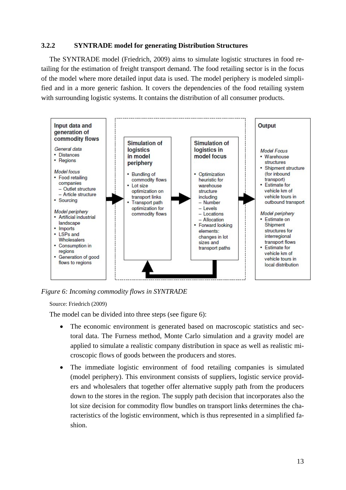# **3.2.2 SYNTRADE model for generating Distribution Structures**

The SYNTRADE model (Friedrich, 2009) aims to simulate logistic structures in food retailing for the estimation of freight transport demand. The food retailing sector is in the focus of the model where more detailed input data is used. The model periphery is modeled simplified and in a more generic fashion. It covers the dependencies of the food retailing system with surrounding logistic systems. It contains the distribution of all consumer products.



*Figure 6: Incoming commodity flows in SYNTRADE* 

## Source: Friedrich (2009)

The model can be divided into three steps (see figure 6):

- The economic environment is generated based on macroscopic statistics and sectoral data. The Furness method, Monte Carlo simulation and a gravity model are applied to simulate a realistic company distribution in space as well as realistic microscopic flows of goods between the producers and stores.
- The immediate logistic environment of food retailing companies is simulated (model periphery). This environment consists of suppliers, logistic service providers and wholesalers that together offer alternative supply path from the producers down to the stores in the region. The supply path decision that incorporates also the lot size decision for commodity flow bundles on transport links determines the characteristics of the logistic environment, which is thus represented in a simplified fashion.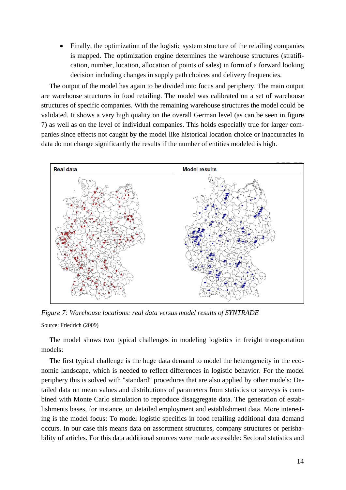Finally, the optimization of the logistic system structure of the retailing companies is mapped. The optimization engine determines the warehouse structures (stratification, number, location, allocation of points of sales) in form of a forward looking decision including changes in supply path choices and delivery frequencies.

The output of the model has again to be divided into focus and periphery. The main output are warehouse structures in food retailing. The model was calibrated on a set of warehouse structures of specific companies. With the remaining warehouse structures the model could be validated. It shows a very high quality on the overall German level (as can be seen in figure 7) as well as on the level of individual companies. This holds especially true for larger companies since effects not caught by the model like historical location choice or inaccuracies in data do not change significantly the results if the number of entities modeled is high.



*Figure 7: Warehouse locations: real data versus model results of SYNTRADE*  Source: Friedrich (2009)

The model shows two typical challenges in modeling logistics in freight transportation models:

The first typical challenge is the huge data demand to model the heterogeneity in the economic landscape, which is needed to reflect differences in logistic behavior. For the model periphery this is solved with "standard" procedures that are also applied by other models: Detailed data on mean values and distributions of parameters from statistics or surveys is combined with Monte Carlo simulation to reproduce disaggregate data. The generation of establishments bases, for instance, on detailed employment and establishment data. More interesting is the model focus: To model logistic specifics in food retailing additional data demand occurs. In our case this means data on assortment structures, company structures or perishability of articles. For this data additional sources were made accessible: Sectoral statistics and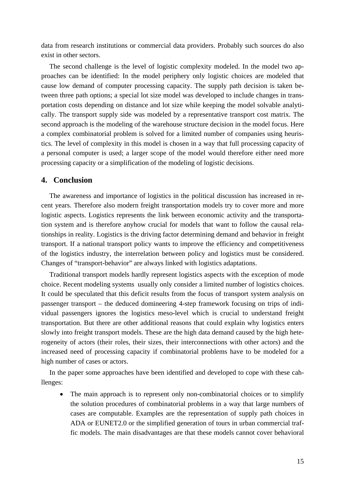data from research institutions or commercial data providers. Probably such sources do also exist in other sectors.

The second challenge is the level of logistic complexity modeled. In the model two approaches can be identified: In the model periphery only logistic choices are modeled that cause low demand of computer processing capacity. The supply path decision is taken between three path options; a special lot size model was developed to include changes in transportation costs depending on distance and lot size while keeping the model solvable analytically. The transport supply side was modeled by a representative transport cost matrix. The second approach is the modeling of the warehouse structure decision in the model focus. Here a complex combinatorial problem is solved for a limited number of companies using heuristics. The level of complexity in this model is chosen in a way that full processing capacity of a personal computer is used; a larger scope of the model would therefore either need more processing capacity or a simplification of the modeling of logistic decisions.

## **4. Conclusion**

The awareness and importance of logistics in the political discussion has increased in recent years. Therefore also modern freight transportation models try to cover more and more logistic aspects. Logistics represents the link between economic activity and the transportation system and is therefore anyhow crucial for models that want to follow the causal relationships in reality. Logistics is the driving factor determining demand and behavior in freight transport. If a national transport policy wants to improve the efficiency and competitiveness of the logistics industry, the interrelation between policy and logistics must be considered. Changes of "transport-behavior" are always linked with logistics adaptations.

Traditional transport models hardly represent logistics aspects with the exception of mode choice. Recent modeling systems usually only consider a limited number of logistics choices. It could be speculated that this deficit results from the focus of transport system analysis on passenger transport – the deduced domineering 4-step framework focusing on trips of individual passengers ignores the logistics meso-level which is crucial to understand freight transportation. But there are other additional reasons that could explain why logistics enters slowly into freight transport models. These are the high data demand caused by the high heterogeneity of actors (their roles, their sizes, their interconnections with other actors) and the increased need of processing capacity if combinatorial problems have to be modeled for a high number of cases or actors.

In the paper some approaches have been identified and developed to cope with these cahllenges:

• The main approach is to represent only non-combinatorial choices or to simplify the solution procedures of combinatorial problems in a way that large numbers of cases are computable. Examples are the representation of supply path choices in ADA or EUNET2.0 or the simplified generation of tours in urban commercial traffic models. The main disadvantages are that these models cannot cover behavioral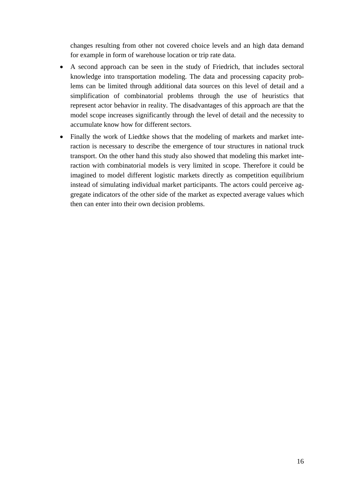changes resulting from other not covered choice levels and an high data demand for example in form of warehouse location or trip rate data.

- A second approach can be seen in the study of Friedrich, that includes sectoral knowledge into transportation modeling. The data and processing capacity problems can be limited through additional data sources on this level of detail and a simplification of combinatorial problems through the use of heuristics that represent actor behavior in reality. The disadvantages of this approach are that the model scope increases significantly through the level of detail and the necessity to accumulate know how for different sectors.
- Finally the work of Liedtke shows that the modeling of markets and market interaction is necessary to describe the emergence of tour structures in national truck transport. On the other hand this study also showed that modeling this market interaction with combinatorial models is very limited in scope. Therefore it could be imagined to model different logistic markets directly as competition equilibrium instead of simulating individual market participants. The actors could perceive aggregate indicators of the other side of the market as expected average values which then can enter into their own decision problems.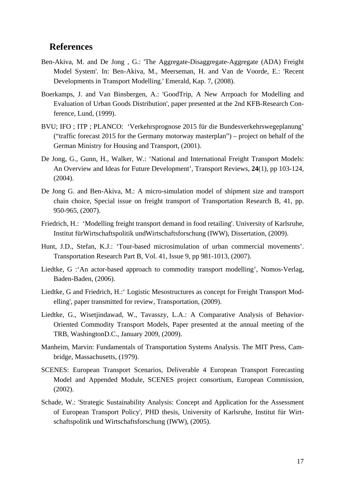# **References**

- Ben-Akiva, M. and De Jong , G.: 'The Aggregate-Disaggregate-Aggregate (ADA) Freight Model System'. In: Ben-Akiva, M., Meerseman, H. and Van de Voorde, E.: 'Recent Developments in Transport Modelling.' Emerald, Kap. 7, (2008).
- Boerkamps, J. and Van Binsbergen, A.: 'GoodTrip, A New Arrpoach for Modelling and Evaluation of Urban Goods Distribution', paper presented at the 2nd KFB-Research Conference, Lund, (1999).
- BVU; IFO ; ITP ; PLANCO: 'Verkehrsprognose 2015 für die Bundesverkehrswegeplanung' ("traffic forecast 2015 for the Germany motorway masterplan") – project on behalf of the German Ministry for Housing and Transport, (2001).
- De Jong, G., Gunn, H., Walker, W.: 'National and International Freight Transport Models: An Overview and Ideas for Future Development', Transport Reviews, **24**(1), pp 103-124, (2004).
- De Jong G. and Ben-Akiva, M.: A micro-simulation model of shipment size and transport chain choice, Special issue on freight transport of Transportation Research B, 41, pp. 950-965, (2007).
- Friedrich, H.: 'Modelling freight transport demand in food retailing'. University of Karlsruhe, Institut fürWirtschaftspolitik undWirtschaftsforschung (IWW), Dissertation, (2009).
- Hunt, J.D., Stefan, K.J.: 'Tour-based microsimulation of urban commercial movements'. Transportation Research Part B, Vol. 41, Issue 9, pp 981-1013, (2007).
- Liedtke, G :'An actor-based approach to commodity transport modelling', Nomos-Verlag, Baden-Baden, (2006).
- Liedtke, G and Friedrich, H.:' Logistic Mesostructures as concept for Freight Transport Modelling', paper transmitted for review, Transportation, (2009).
- Liedtke, G., Wisetjindawad, W., Tavasszy, L.A.: A Comparative Analysis of Behavior-Oriented Commodity Transport Models, Paper presented at the annual meeting of the TRB, WashingtonD.C., January 2009, (2009).
- Manheim, Marvin: Fundamentals of Transportation Systems Analysis. The MIT Press, Cambridge, Massachusetts, (1979).
- SCENES: European Transport Scenarios, Deliverable 4 European Transport Forecasting Model and Appended Module, SCENES project consortium, European Commission, (2002).
- Schade, W.: 'Strategic Sustainability Analysis: Concept and Application for the Assessment of European Transport Policy', PHD thesis, University of Karlsruhe, Institut für Wirtschaftspolitik und Wirtschaftsforschung (IWW), (2005).